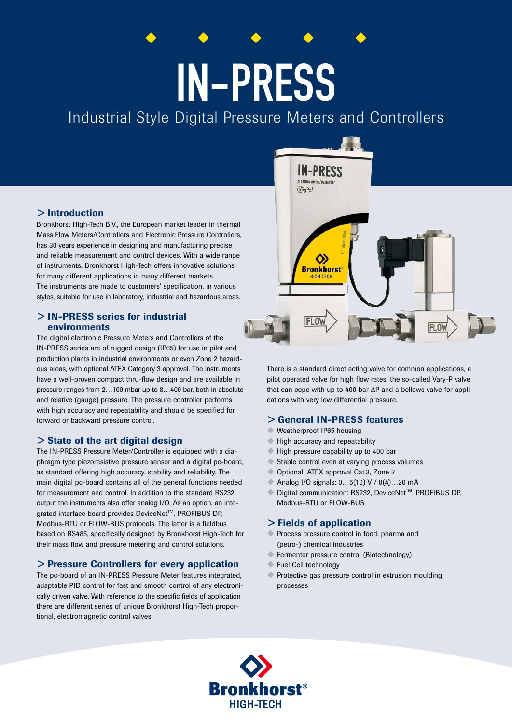# IN-PRESS

# Industrial Style Digital Pressure Meters and Controllers

#### > Introduction

Bronkhorst High-Tech B.V., the European market leader in thermal Mass Flow Meters/Controllers and Electronic Pressure Controllers, has 30 years experience in designing and manufacturing precise and reliable measurement and control devices. With a wide range of instruments, Bronkhorst High-Tech offers innovative solutions for many different applications in many different markets. The instruments are made to customers' specification, in various styles, suitable for use in laboratory, industrial and hazardous areas.

#### > IN-PRESS series for industrial environments

The digital electronic Pressure Meters and Controllers of the IN-PRESS series are of rugged design (IP65) for use in pilot and production plants in industrial environments or even Zone 2 hazardous areas, with optional ATEX Category 3 approval. The instruments have a well-proven compact thru-flow design and are available in pressure ranges from 2…100 mbar up to 8…400 bar, both in absolute and relative (gauge) pressure. The pressure controller performs with high accuracy and repeatability and should be specified for forward or backward pressure control.

# > State of the art digital design

The IN-PRESS Pressure Meter/Controller is equipped with a diaphragm type piezoresistive pressure sensor and a digital pc-board, as standard offering high accuracy, stability and reliability. The main digital pc-board contains all of the general functions needed for measurement and control. In addition to the standard RS232 output the instruments also offer analog I/O. As an option, an integrated interface board provides DeviceNet™, PROFIBUS DP, Modbus-RTU or FLOW-BUS protocols. The latter is a fieldbus based on RS485, specifically designed by Bronkhorst High-Tech for their mass flow and pressure metering and control solutions.

#### > Pressure Controllers for every application

The pc-board of an IN-PRESS Pressure Meter features integrated, adaptable PID control for fast and smooth control of any electronically driven valve. With reference to the specific fields of application there are different series of unique Bronkhorst High-Tech proportional, electromagnetic control valves.



There is a standard direct acting valve for common applications, a pilot operated valve for high flow rates, the so-called Vary-P valve that can cope with up to 400 bar ΔP and a bellows valve for applications with very low differential pressure.

#### > General IN-PRESS features

- Weatherproof IP65 housing
- $\blacklozenge$  High accuracy and repeatability
- High pressure capability up to 400 bar
- Stable control even at varying process volumes
- Optional: ATEX approval Cat.3, Zone 2
- Analog I/O signals: 0...5(10) V / 0(4)...20 mA
- Digital communication: RS232, DeviceNet™, PROFIBUS DP, Modbus-RTU or FLOW-BUS

#### > Fields of application

- **Exercise** Process pressure control in food, pharma and (petro-) chemical industries
- **E** Fermenter pressure control (Biotechnology)
- $\blacktriangleright$  Fuel Cell technology
- $\blacklozenge$  Protective gas pressure control in extrusion moulding processes

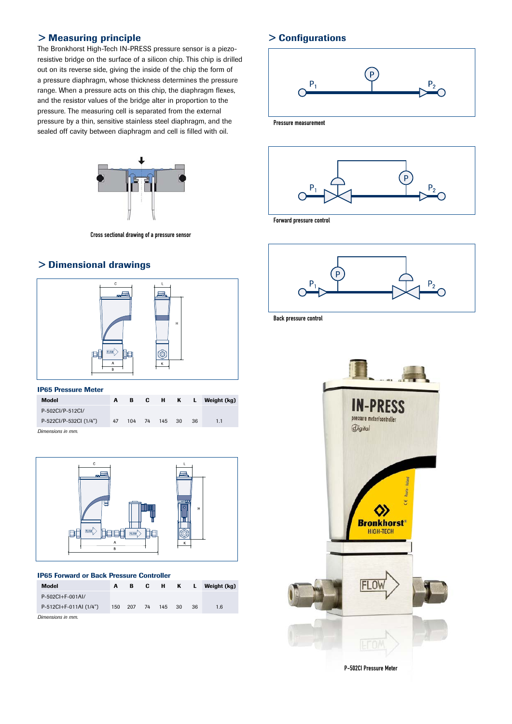# > Measuring principle

The Bronkhorst High-Tech IN-PRESS pressure sensor is a piezoresistive bridge on the surface of a silicon chip. This chip is drilled out on its reverse side, giving the inside of the chip the form of a pressure diaphragm, whose thickness determines the pressure range. When a pressure acts on this chip, the diaphragm flexes, and the resistor values of the bridge alter in proportion to the pressure. The measuring cell is separated from the external pressure by a thin, sensitive stainless steel diaphragm, and the sealed off cavity between diaphragm and cell is filled with oil.



Cross sectional drawing of a pressure sensor

# > Dimensional drawings



#### IP65 Pressure Meter

| Model                  | A  | в |               |     | C H K L Weight (kg) |
|------------------------|----|---|---------------|-----|---------------------|
| P-502CI/P-512CI/       |    |   |               |     |                     |
| P-522Cl/P-532Cl (1/4") | 47 |   | 104 74 145 30 | -36 | 1.1                 |
| Dimensions in mm       |    |   |               |     |                     |

*Dimensions in mm.*



#### IP65 Forward or Back Pressure Controller

| Model                  | A   | в      | C. | н.     | K L |    | Weight (kg) |
|------------------------|-----|--------|----|--------|-----|----|-------------|
| $P-502CI+F-001Al/$     |     |        |    |        |     |    |             |
| P-512Cl+F-011Al (1/4") | 150 | 207 74 |    | 145 30 |     | 36 | 1.6         |
| Dimensions in mm.      |     |        |    |        |     |    |             |

# > Configurations



Pressure measurement



Forward pressure control



Back pressure control

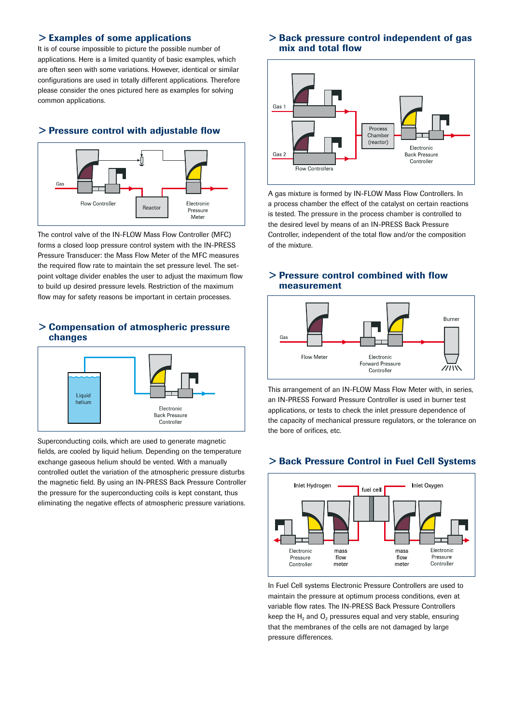#### > Examples of some applications

It is of course impossible to picture the possible number of applications. Here is a limited quantity of basic examples, which are often seen with some variations. However, identical or similar configurations are used in totally different applications. Therefore please consider the ones pictured here as examples for solving common applications.

#### > Pressure control with adjustable flow



The control valve of the IN-FLOW Mass Flow Controller (MFC) forms a closed loop pressure control system with the IN-PRESS Pressure Transducer: the Mass Flow Meter of the MFC measures the required flow rate to maintain the set pressure level. The setpoint voltage divider enables the user to adjust the maximum flow to build up desired pressure levels. Restriction of the maximum flow may for safety reasons be important in certain processes.

#### > Compensation of atmospheric pressure changes



Superconducting coils, which are used to generate magnetic fields, are cooled by liquid helium. Depending on the temperature exchange gaseous helium should be vented. With a manually controlled outlet the variation of the atmospheric pressure disturbs the magnetic field. By using an IN-PRESS Back Pressure Controller the pressure for the superconducting coils is kept constant, thus eliminating the negative effects of atmospheric pressure variations.

#### > Back pressure control independent of gas mix and total flow



A gas mixture is formed by IN-FLOW Mass Flow Controllers. In a process chamber the effect of the catalyst on certain reactions is tested. The pressure in the process chamber is controlled to the desired level by means of an IN-PRESS Back Pressure Controller, independent of the total flow and/or the composition of the mixture.

#### > Pressure control combined with flow measurement



This arrangement of an IN-FLOW Mass Flow Meter with, in series, an IN-PRESS Forward Pressure Controller is used in burner test applications, or tests to check the inlet pressure dependence of the capacity of mechanical pressure regulators, or the tolerance on the bore of orifices, etc.

#### > Back Pressure Control in Fuel Cell Systems



In Fuel Cell systems Electronic Pressure Controllers are used to maintain the pressure at optimum process conditions, even at variable flow rates. The IN-PRESS Back Pressure Controllers keep the  $H_2$  and  $O_2$  pressures equal and very stable, ensuring that the membranes of the cells are not damaged by large pressure differences.